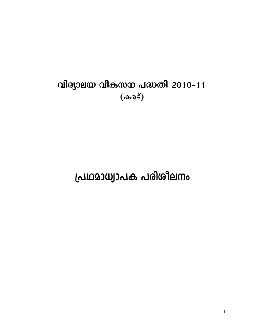# വിദ്യാലയ വികസന പദ്ധതി 2010-11  $(\omega$

# പ്രഥമാധ്വാപക പരിശീലനം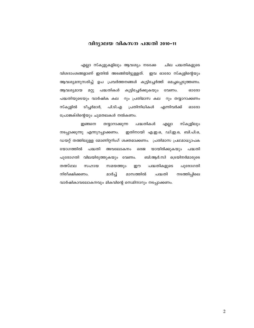# വിദ്യാലയ വികസന പദ്ധതി 2010–11

എല്ലാ സ്കൂളുകളിലും ആവശ്യം നടക്കേ ചില പദ്ധതികളുടെ വിശദാംശങ്ങളാണ് ഇതിൽ അടങ്ങിയിട്ടുള്ളത്. ഇവ ഓരോ സ്കുളിന്റെയും ആവശ്യമനുസരിച്ച് ഉപ പ്രവർത്തനങ്ങൾ കൂട്ടിച്ചേർത്ത് മെച്ചപ്പെടുത്തണം. ആവശ്യമായ മറ്റു പദ്ധതികൾ കൂട്ടിച്ചേർക്കുകയും വേണം. ഓരോ പദ്ധതിയുടെയും വാർഷിക കല റും പ്രതിമാസ കല റും തയ്യാറാക്കണം ടീച്ചർമാർ, സ്കൂളിൽ പി.ടി.എ പ്രതിനിധികൾ എന്നിവർക്ക് ഓരോ പ്രോജക്ടിന്റെയും ചുമതലകൾ നൽകണം.

ഇങ്ങനെ തയ്യാറാക്കുന്ന പദ്ധതികൾ എല്ലാ സ്കൂളിലും ഇതിനായി എ.ഇ.ഒ, ഡി.ഇ.ഒ, ബി.പി.ഒ, നടപ്പാക്കുന്നു എന്നുറപ്പാക്കണം. ഡയറ്റ് തത്തിലുള്ള മോണിറ്ററിംഗ് ശക്തമാക്കണം. പ്രതിമാസ പ്രഥമാധ്യാപക യോഗത്തിൽ പദ്ധതി അവലോകനം ഒരജ യായിരിക്കുകയും പദ്ധതി പുരോഗതി വിലയിരുത്തുകയും വേണം. ബി.ആർ.സി ട്രെയിനർമാരുടെ തത്സ്ഥല സഹായ സമയത്തും ഈ പദ്ധതികളുടെ പുരോഗതി നിരീക്ഷിക്കണം. മാർച്ച് മാസത്തിൽ നടത്തിപ്പിലെ പദ്ധതി വാർഷികാവലോകനവും മികവിന്റെ സെമിനാറും നടപ്പാക്കണം.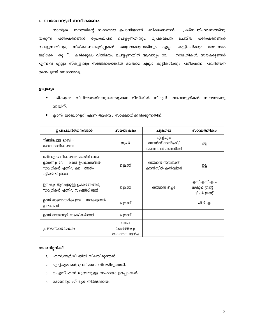#### 1. ലാബോറട്ടറി നവീകരണം

ശാസ്ത്ര പഠനത്തിന്റെ ശക്തമായ ഉപാധിയാണ് പരീക്ഷണങ്ങൾ. പ്രശ്നപരിഹരണത്തിനു തകുന്ന പരീക്ഷണങ്ങൾ രൂപകല്പന ചെയ്യുന്നതിനും, രൂപകല്പന ചെയ്ത പരീക്ഷണങ്ങൾ ചെയ്യുന്നതിനും, നിരീക്ഷണക്കുറിപ്പുകൾ തയ്യാറാക്കുന്നതിനും എല്ലാ കുട്ടികൾക്കും അവസരം ലഭിക്കേ തു ്. കരിക്കുലം വിനിമയം ചെയ്യുന്നതിന് ആവശ്യം വേ സാമഗ്രികൾ, സൗകര്യങ്ങൾ എന്നിവ എല്ലാ സ്കൂളിലും സജ്ജമായെങ്കിൽ മാത്രമെ എല്ലാ കുട്ടികൾക്കും പരീക്ഷണ പ്രവർത്തന നൈപുണി നേടാനാവൂ.

#### pc3wyo

- $\bullet$  കരിക്കുലം വിനിമയത്തിനനുയോജ്യമായ രീതിയിൽ സ്കൂൾ ലബോറട്ടറികൾ സജ്ജമാക്കു ന്നതിന്.
- ക്ലാസ് ലബോറട്ടറി എന്ന ആശയം സാക്ഷാത്ക്കരിക്കുന്നതിന്.

| ഉപപ്രവർത്തനങ്ങൾ                                                                                               | സമയക്രമം                               | ചുമതല                                       | സാമ്പത്തികം                                        |
|---------------------------------------------------------------------------------------------------------------|----------------------------------------|---------------------------------------------|----------------------------------------------------|
| നിലവിലുള്ള ലാബ് -<br>അവസ്ഥാവിശകലനം                                                                            | ജൂൺ                                    | എച്ച്.എം<br>സയൻസ് സബ്ജക്ട്<br>കൗൺസിൽ കൺവീനർ | ഇല്ല                                               |
| കരിക്കുലം വിശകലനം ചെയ്ത് ഓരോ<br>ക്ലാസിനും വേ ലാബ് ഉപകരണങ്ങൾ,<br>സാമഗ്രികൾ എന്നിവ കൗെത്തൽ/<br>പട്ടികപ്പെടുത്തൽ | ജൂലായ്                                 | സയൻസ് സബ്ജക്ട്<br>കൗൺസിൽ കൺവീനർ             | ഇല്ല                                               |
| ഇനിയും ആവശ്വമുള്ള ഉപകരണങ്ങൾ,<br>സാമഗ്രികൾ എന്നിവ സംഘടിപ്പിക്കൽ                                                | ജൂലായ്                                 | സയൻസ് ടീച്ചർ                                | എസ്.എസ്.എ –<br>സ്കൂൾ ഗ്രാന്റ് -<br>ടീച്ചർ ഗ്രാന്റ് |
| ക്ലാസ് ലാബോറട്ടറിക്കുവേ<br>സൗകര്വങ്ങൾ<br>ഉറപ്പാക്കൽ                                                           | ജൂലായ്                                 |                                             | പി.ടി.എ                                            |
| ക്ലാസ് ലബോറട്ടറി സജ്ജീകരിക്കൽ                                                                                 | ജുലായ്                                 |                                             |                                                    |
| പ്രതിമാസാവലോകനം                                                                                               | ഓരോ<br><b>മാസത്തേയും</b><br>അവസാന ആഴ്ച |                                             |                                                    |

- 1. എസ്.ആർ.ജി യിൽ വിലയിരുത്തൽ.
- 2. എച്ച്.എം ന്റെ പ്രതിമാസ വിലയിരുത്തൽ.
- 3. ഒ.എസ്.എസ് ലൂടെയുള്ള സഹായം ഉറപ്പാക്കൽ.
- 4. മോണിറ്ററിംഗ് ടൂൾ നിർമ്മിക്കൽ.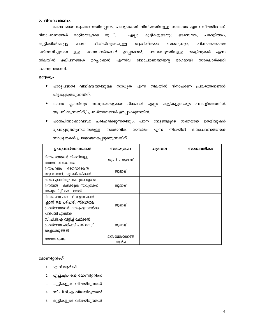#### 2. ദിനാചരണം

കേവലമായ ആചരണത്തിനപ്പുറം, പാഠ്യപദ്ധതി വിനിമത്തിനുള്ള സങ്കേതം എന്ന നിലയിലേക്ക് ദിനാചരണങ്ങൾ മാറ്റിയെടുക്കേ തു $\cdot$ എല്ലാ കുട്ടികളുടെയും ഉടമസ്ഥത, പങ്കാളിത്തം, കുട്ടിക്കിഷ്ടപ്പെട്ട പഠന രീതിയിലുടെയുള്ള ആവിഷ്ക്കാര സ്വാതന്ത്ര്യം, പിന്നാക്കക്കാരെ പരിഗണിച്ചുകൊ പഠനസന്ദർഭങ്ങൾ ഉറപ്പാക്കൽ, പഠനനേട്ടത്തിനുള്ള തെളിവുകൾ ുള്ള എന്ന നിലയിൽ ഉല്പന്നങ്ങൾ ഉറപ്പാക്കൽ എന്നിവ ദിനാചരണത്തിന്റെ ഭാഗമായി സാക്ഷാത്ക്കരി ക്കാവുന്നതാണ്.

#### ഉദ്ദേശ്യം

- പാഠ്യപദ്ധതി വിനിമയത്തിനുള്ള സാധ്യത എന്ന നിലയിൽ ദിനാചരണ പ്രവർത്തനങ്ങൾ  $\bullet$ ചിട്ടപ്പെടുത്തുന്നതിന്.
- $\bullet$ ഓരോ ക്ലാസിനും അനുയോജ്യമായ ദിനങ്ങൾ എല്ലാ കുട്ടികളുടെയും പങ്കാളിത്തത്തിൽ ആചരിക്കുന്നതിന്/ പ്രവർത്തനങ്ങൾ ഉറപ്പാക്കുന്നതിന്.
- $\bullet$ പഠനപിന്നാക്കാവസ്ഥ പരിഹരിക്കുന്നതിനും, പഠന നേട്ടങ്ങളുടെ ശക്തമായ തെളിവുകൾ രൂപപ്പെടുത്തുന്നതിനുമുള്ള സ്വാഭാവിക സന്ദർഭം നിലയിൽ ദിനാചരണത്തിന്റെ എന്ന സാധ്യതകൾ പ്രയോജനപ്പെടുത്തുന്നതിന്.

| ഉപപ്രവർത്തനങ്ങൾ                | സമയക്രമം     | ചുമതല | സാമ്പത്തികം |
|--------------------------------|--------------|-------|-------------|
| ദിനാചരണങ്ങൾ നിലവിലുള്ള         | ജൂൺ - ജൂലായ് |       |             |
| അസ്ഥാ വിശകലനം                  |              |       |             |
| ദിനാചരണം - ഗൈഡ്ലൈൻ             |              |       |             |
| തയ്യാറാക്കൽ, സ്വാംശികരിക്കൽ    | ജൂലായ്       |       |             |
| ഓരോ ക്ലാസിനും അനുയോജ്വമായ      |              |       |             |
| ദിനങ്ങൾ - കരിക്കുലം സാധ്വതകൾ   | ജൂലായ്       |       |             |
| അപഗ്രഥിച്ച് കൗെത്തൽ            |              |       |             |
| ദിനാചരണ കല ർ തയ്യാറാക്കൽ       |              |       |             |
| (ക്ലാസ് തല പരിപാടി, സ്കൂൾതല    | ജൂലായ്       |       |             |
| പ്രവർത്തനങ്ങൾ, സാമൂഹ്വസമ്പർക്ക |              |       |             |
| പരിപാടി എന്നിവ)                |              |       |             |
| സി.പി.ടി.എ വിളിച്ച് ചേർക്കൽ    |              |       |             |
| പ്രവർത്തന പരിപാടി പങ്ക് വെച്ച് | ജൂലായ്       |       |             |
| 2െച്ചപ്പെടുത്തൽ                |              |       |             |
| അവലോകനം                        | മാസാവസാനത്തെ |       |             |
|                                | ആഴ്ച         |       |             |

- 1. എസ്.ആർ.ജി
- എച്ച്.എം ന്റെ മോണിറ്ററിംഗ്  $2.$
- $3.$ കുട്ടികളുടെ വിലയിരുത്തൽ
- 4. സി.പി.ടി.എ വിലയിരുത്തൽ
- 5. കുട്ടികളുടെ വിലയിരുത്തൽ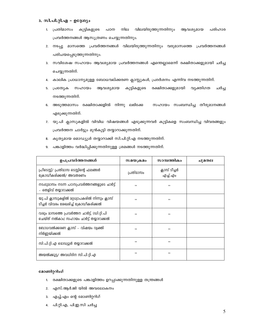### 3. സി.പി.റ്റി.എ - ഉദ്ദേശ്യം

- 1. പ്രതിമാസം കുട്ടികളുടെ പഠന നില വിലയിരുത്തുന്നതിനും ആവശ്യമായ പരിഹാര പ്രവർത്തനങ്ങൾ ആസൂത്രണം ചെയ്യുന്നതിനും.
- 2. നടപ്പു മാസത്തെ പ്രവർത്തനങ്ങൾ വിലയിരുത്തുന്നതിനും വരുമാസത്തെ പ്രവർത്തനങ്ങൾ പരിചയപ്പെടുത്തുന്നതിനും.
- 3. സവിശേഷ സഹായം ആവശ്യമായ പ്രവർത്തനങ്ങൾ എന്തെല്ലാമെന്ന് രക്ഷിതാക്കളുമായി ചർച്ച ചെയ്യുന്നതിന്.
- 4. കാലിക പ്രാധാന്യമുള്ള ബോധവല്ക്കരണ ക്ലാസ്സുകൾ, പ്രദർശനം എന്നിവ നടത്തുന്നതിന്.
- 5. പ്രത്യേക സഹായം ആവശ്യമായ കുട്ടികളുടെ രക്ഷിതാക്കളുമായി വൃക്തിഗത ചർച്ച നടത്തുന്നതിന്.
- 6. അടുത്തമാസം രക്ഷിതാക്കളിൽ നിന്നു ലഭിക്കേ സഹായം സംബന്ധിച്ച തീരുമാനങ്ങൾ എടുക്കുന്നതിന്.
- 7. യു.പി ക്ലാസുകളിൽ വിവിധ വിഷയങ്ങൾ എടുക്കുന്നവർ കുട്ടികളെ സംബന്ധിച്ച വിവരങ്ങളും പ്രവർത്തന ചാർട്ടും മുൻകൂട്ടി തയ്യാറാക്കുന്നതിന്.
- 8. കൃത്യമായ മൊഡ്യൂൾ തയ്യാറാക്കി സി.പി.റ്റി.എ നടത്തുന്നതിന്.
- 9. പങ്കാളിത്തം വർദ്ധിപ്പിക്കുന്നതിനുള്ള ശ്രമങ്ങൾ നടത്തുന്നതിന്.

| ഉപപ്രവർത്തനങ്ങൾ                                                                        | സമയക്രമം  | സാമ്പത്തികം               | ചുമതല |
|----------------------------------------------------------------------------------------|-----------|---------------------------|-------|
| പ്രീടെസ്റ്റ്/ പ്രതിമാസ ടെസ്റ്റിന്റെ ഫലങ്ങൾ<br>ക്രോഡീകരിക്കൽ/ അവതരണം                    | പ്രതിമാസം | ക്ലാസ് ടീച്ചർ<br>എച്ച്.എം |       |
| നടപ്പുമാസം നടന്ന പഠനപ്രവർത്തനങ്ങളുടെ ചാർട്ട്<br>- തെളിവ് തയ്യാറാക്കൽ                   | ,,        | ,,                        |       |
| യു.പി ക്ലാസുകളിൽ മറ്റധ്വാപകരിൽ നിന്നും ക്ലാസ്<br>ടീച്ചർ വിവരം ശേഖരിച്ച് ക്രോഡീകരിക്കൽ  | ,,        | ,,                        |       |
| വരും മാസത്തെ പ്രവർത്തന ചാർട്ട്, (ഡി.റ്റി.പി<br>ചെയ്ത് നൽകാം) സഹായം ചാർട്ട് തയ്യാറാക്കൽ | ,,        | ,,                        |       |
| ബോധവൽക്കരണ ക്ലാസ് - വിഷയം വ്യക്തി<br>നിർണ്ണയിക്കൽ                                      | ,,        | ,,                        |       |
| സി.പി.റ്റി.എ മൊഡ്വൂൾ തയ്യാറാക്കൽ                                                       | ,,        | ,,                        |       |
| അയൽക്കൂട്ട⁄ അവധിദിന സി.പി.റ്റി.എ                                                       | ,,        | ,,                        |       |

- 1. രക്ഷിതാക്കളുടെ പങ്കാളിത്തം ഉറപ്പാക്കുന്നതിനുള്ള തന്ത്രങ്ങൾ
- 2. എസ്.ആർ.ജി യിൽ അവലോകനം
- 3. എച്ച്.എം ന്റെ മോണിറ്ററിഗ്
- 4. പി.റ്റി.എ, പി.ഇ.സി ചർച്ച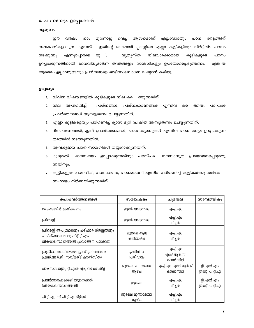#### 4. പഠനനേട്ടം ഉറപ്പാക്കൽ

#### ആമുഖം

ഈ വർഷം നാം മുന്നോട്ടു വെച്ച ആശയമാണ് എല്ലാവരേയും പഠന നേട്ടത്തിന് അവകാശികളാകുന്ന എന്നത്. ഇതിന്റെ ഭാഗമായി ക്ലാസ്സിലെ എല്ലാ കുട്ടികളിലും നിർദ്ദിഷ്ട പഠനം തു $\cdot$ . എന്നുറപ്പാക്കേ വൃതൃസ്ത നിലവാരക്കാരായ നടക്കുന്നു കുട്ടികളുടെ പഠനം ഉറപ്പാക്കുന്നതിനായി വൈവിധ്യമാർന്ന തന്ത്രങ്ങളും സാമഗ്രികളും ഉപയോഗപ്പെടുത്തണം. എങ്കിൽ മാത്രമേ എല്ലാവരുടെയും പ്രശ്നങ്ങളെ അഭിസംബോധന ചെയ്യാൻ കഴിയൂ.

#### ഉദ്ദേശ്യം

- 1. വിവിധ വിഷയങ്ങളിൽ കുട്ടികളുടെ നില കടെ ത്തുന്നതിന്.
- 2. നില അപഗ്രഥിച്ച് പ്രശ്നങ്ങൾ, പ്രശ്നകാരണങ്ങൾ എന്നിവ ക പരിഹാര ത്തൽ, പ്രവർത്തനങ്ങൾ ആസൂത്രണം ചെയ്യുന്നതിന്.
- 3. എല്ലാ കുട്ടികളെയും പരിഗണിച്ച് ക്ലാസ് മുറി പ്രക്രിയ ആസൂത്രണം ചെയ്യുന്നതിന്.
- 4. ദിനാചരണങ്ങൾ, ക്ലബ് പ്രവർത്തനങ്ങൾ, പഠന ക്യാമ്പുകൾ എന്നിവ പഠന നേട്ടം ഉറപ്പാക്കുന്ന തരത്തിൽ നടത്തുന്നതിന്.
- 5. ആവശ്യമായ പഠന സാമഗ്രികൾ തയ്യാറാക്കുന്നതിന്.
- 6. കൂടുതൽ പഠനസമയം ഉറപ്പാക്കുന്നതിനും പരസ്പര പഠനസാധൃത പ്രയോജനപ്പെടുത്തു ന്നതിനും.
- 7. കുട്ടികളുടെ പഠനരീതി, പഠനവേഗത, പഠനശൈലി എന്നിവ പരിഗണിച്ച് കുട്ടികൾക്കു നൽകേ സഹായം നിർണയിക്കുന്നതിന്.

| ഉപപ്രവർത്തനങ്ങൾ                                                                                                       | സമയക്രമം                        | ചുമതല                           | സാമ്പത്തികം                      |
|-----------------------------------------------------------------------------------------------------------------------|---------------------------------|---------------------------------|----------------------------------|
| ടൈംടേബിൾ ക്രമീകരണം                                                                                                    | ജൂൺ ആദ്വവാരം                    | എച്ച്.എം                        |                                  |
| പ്രീടെസ്റ്റ്                                                                                                          | ജൂൺ ആദ്വവാരം                    | എച്ച്.എം<br>ടീച്ചർ              |                                  |
| പ്രീടെസ്റ്റ് അപഗ്രഥനവും പരിഹാര നിർണ്ണയവും<br>– ശില്പശാല (1 യൂണിറ്റ് റ്റി.എം,<br>വിഷയാടിസ്ഥാനത്തിൽ പ്രവർത്തന പാക്കേജ്) | ജൂലൈ ആദ്വ<br>ശനിയാഴ്ച           | എച്ച്.എം<br>ടീച്ചർ              |                                  |
| പ്രക്രിയാ ബന്ധിതമായി ക്ലാസ് പ്രവർത്തനം<br>(എസ്.ആർ.ജി, സബ്ജക്ട് കൗൺസിൽ)                                                | പ്രതിദിനം<br>പ്രതിവാരം          | എച്ച്.എം<br>എസ്.ആർ.സി<br>കൗൺസിൽ |                                  |
| വായനാസാമഗ്രി, റ്റി.എൽ.എം, വർക്ക് ഷീറ്റ്                                                                               | ജൂലൈ ര<br><u>ാമത്തെ</u><br>ആഴ്ച | എച്ച്.എം എസ്.ആർ.ജി<br>കൗൺസിൽ    | റ്റി.എൽ.എം<br>ഗ്രാന്റ് പി.റ്റി.എ |
| പ്രവർത്തനപാക്കേജ് തയ്യാറാക്കൽ<br>(വിഷയാടിസ്ഥാനത്തിൽ)                                                                  | ജൂലൈ                            | എച്ച്.എം<br>ടീച്ചർ              | റ്റി.എൽ.എം<br>ഗ്രാന്റ് പി.റ്റി.എ |
| പി.റ്റി.എ, സി.പി.റ്റി.എ മീറ്റിംഗ്                                                                                     | ജൂലൈ മൂന്നാമത്തെ<br>ആഴ്ച        | എച്ച്.എം<br>ടീച്ചർ              |                                  |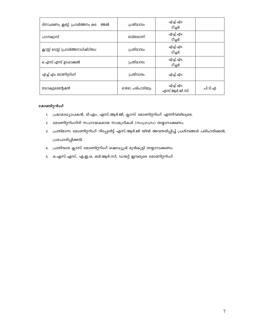| ദിനാചരണം, ക്ലബ്ബ്- പ്രവർത്തനം കടെ<br>ത്തൽ | പ്രതിമാസം      | എച്ച്.എം<br>ടീച്ചർ       |         |
|-------------------------------------------|----------------|--------------------------|---------|
| പഠനക്വാമ്പ്                               | ടേമിലൊന്ന്     | എച്ച്.എം<br>ടീച്ചർ       |         |
| ക്ലാസ്സ് പ്രവർത്തനാധിഷ്ഠിതം)              | പ്രതിമാസം      | എച്ച്.എം<br>ടീച്ചർ       |         |
| ഒ.എസ്.എസ് ഉറപ്പാക്കൽ                      | പ്രതിമാസം      | എച്ച്.എം<br>ടീച്ചർ       |         |
| എച്ച്.എം മോണിറ്ററിംഗ്                     | പ്രതിവാരം      | എച്ച്.എം                 |         |
| ഡോക്വുമെന്റേഷൻ                            | ഓരോ പരിപാടിയും | എച്ച്.എം<br>എസ്.ആർ.ജി.സി | പി.ടി.എ |

- 1. പ്രഥമാധ്യാപകൻ, ടി.എം, എസ്.ആർ.ജി, ക്ലാസ് മോണിറ്ററിംഗ് എന്നിവയിലൂടെ.
- 2. മോണിറ്ററിംഗിന് സഹായകമായ സാമഗ്രികൾ (സംഗ്രഹം) തയ്യാറാക്കണം.
- 3. പ്രതിമാസ മോണിറ്ററിംഗ് റിപ്പോർട്ട് എസ്.ആർ.ജി യിൽ അവതരിപ്പിച്ച് പ്രശ്നങ്ങൾ പരിഹരിക്കൽ, ്രപചോദിപ്പിക്കൽ.
- 4. പ്രതിവാര ക്ലാസ് മോണിറ്ററിംഗ് ഷെഡ്യൂൾ മുൻകൂട്ടി തയ്യാറാക്കണം.
- 5. ഒ.എസ്.എസ്, എ.ഇ.ഒ, ബി.ആർ.സി, ഡയറ്റ് ഇവരുടെ മോണിറ്ററിംഗ്.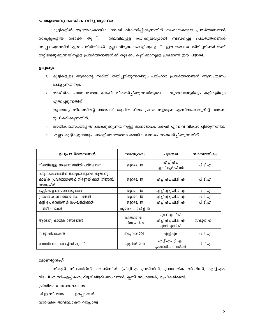#### 5. ആരോഗ്യകായിക വിദ്യാഭ്യാസം

കുട്ടികളിൽ ആരോഗൃകായിക ശേഷി വികസിപ്പിക്കുന്നതിന് സഹായകമായ പ്രവർത്തനങ്ങൾ സ്കൂളുകളിൽ നടക്കേ നിലവിലുള്ള കരിക്കുലവുമായി ബന്ധപ്പെട്ട പ്രവർത്തനങ്ങൾ തു ". നടപ്പാക്കുന്നതിന് ഏറെ പരിമിതികൾ എല്ലാ വിദ്യാലയങ്ങളിലും ഉ ്. ഈ അവസ്ഥ തിരിച്ചറിഞ്ഞ് അത് മാറ്റിയെടുക്കുന്നതിനുള്ള പ്രവർത്തനങ്ങൾക്ക് തുടക്കം കുറിക്കാനുള്ള ശ്രമമാണ് ഈ പദ്ധതി.

### ഉദ്ദേശ്യം

- 1. കുട്ടികളുടെ ആരോഗ്യ സ്ഥിതി തിരിച്ചറിയുന്നതിനും പരിഹാര പ്രവർത്തനങ്ങൾ ആസുത്രണം ചെയ്യുന്നതിനും.
- 2. ശാരീരിക ചലനപരമായ ശേഷി വികസിപ്പിക്കുന്നതിനുവേ വ്യായാമങ്ങളിലും കളികളിലും ഏർപ്പെടുന്നതിന്.
- 3. ആരോഗ്യ ശീലത്തിന്റെ ഭാഗമായി ശുചിത്വശീലം പ്രഥമ ശുശ്രൂഷ എന്നിവയെക്കുറിച്ച് ധാരണ രൂപീകരിക്കുന്നതിന്.
- 4. കായിക മത്സരങ്ങളിൽ പങ്കെടുക്കുന്നതിനുള്ള മനോഭാവം, ശേഷി എന്നിവ വികസിപ്പിക്കുന്നതിന്.
- 5. എല്ലാ കുട്ടികളുടേയും പങ്കാളിത്തത്തോടെ കായിക മത്സരം സംഘടിപ്പിക്കുന്നതിന്.

| ഉപപ്രവർത്തനങ്ങൾ                                                                             | സമയക്രമം               | ചുമതല                                        |         |
|---------------------------------------------------------------------------------------------|------------------------|----------------------------------------------|---------|
| നിലവിലുള്ള ആരോഗ്യസ്ഥിതി പരിശോധന                                                             | ജൂലൈ 10                | എച്ച്.എം,<br>എസ്.ആർ.ജി.സി                    | പി.ടി.എ |
| വിദ്വാലയതലത്തിൽ അനുയോജ്വമായ ആരോഗ്യ<br>കായിക പ്രവർത്തനങ്ങൾ നിർണ്ണയിക്കൽ (നീന്തൽ,<br>സൈക്കിൾ) | ജൂലൈ 10                | എച്ച്.എം, പി.ടി.എ                            | പി.ടി.എ |
| കുട്ടികളെ തെരഞ്ഞെടുക്കൽ                                                                     | ജൂലൈ 10                | എച്ച്.എം, പി.ടി.എ                            | പി.ടി.എ |
| പ്രാദേശിക വിദഗ്ധരെ കടെ<br>ത്തൽ                                                              | ജൂലൈ 10                | എച്ച്.എം, പി.ടി.എ                            | പി.ടി.എ |
| കളി ഉപകരണങ്ങൾ സംഘടിപ്പിക്കൽ                                                                 | ജൂലൈ 10                | എച്ച്.എം, പി.ടി.എ                            | പി.ടി.എ |
| പരിശീലനങ്ങൾ                                                                                 | ജൂലൈ - മാർച്ച് 10      |                                              |         |
| ആരോഗ്വ കായിക മത്സരങ്ങൾ                                                                      | ഒക്ടോബർ -<br>ഡിസംബർ 10 | എൽ.എസ്.ജി<br>എച്ച്.എം, പി.ടി.എ<br>എസ്.എസ്.ജി | സ്കൂൾ ഫ |
| സർട്ടിഫിക്കേഷൻ                                                                              | ജനുവരി 2011            | എച്ച്.എം                                     | പി.ടി.എ |
| അവധിക്കാല കോച്ചിംഗ് ക്വാമ്പ്                                                                | ഏപ്രിൽ 2011            | എച്ച്.എം, റ്റി.എം<br>പ്രാദേശിക വിദഗ്ധർ       | പി.ടി.എ |

#### മോണിറ്ററിംഗ്

സ്കൂൾ സ്പോർട്സ് കൗൺസിൽ (പി.റ്റി.എ പ്രതിനിധി, പ്രാദേശിക വിദഗ്ധർ, എച്ച്.എം, റിട്ട.പി.എ.സി-എച്ച്.ഐ, റിട്ട.മിലിട്ടറി അംഗങ്ങൾ, ക്ലബ് അംഗങ്ങൾ) രൂപീകരിക്കൽ.

പ്രിതിമാസ അവലോകനം

പി.ഇ.സി അജ – ഉറപ്പാക്കൽ

വാർഷിക അവലോകന റിപ്പോർട്ട്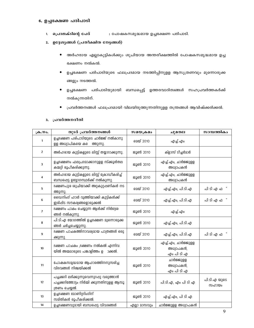# 6. ഉച്ചഭക്ഷണ പരിപാടി

- : പോഷകസമൃദ്ധമായ ഉച്ചഭക്ഷണ പരിപാടി. 1. പ്രൊജക്ടിന്റെ പേര്
- 2. ഉദ്ദേശ്യങ്ങൾ (പ്രതീക്ഷിത നേട്ടങ്ങൾ)
	- അർഹരായ എല്ലാകുട്ടികൾക്കും ശുചിയായ അന്തരീക്ഷത്തിൽ പോഷകസമൃദ്ധമായ ഉച്ച ഭക്ഷണം നൽകൽ.
	- ഉച്ചഭക്ഷണ പരിപാടിയുടെ ഫലപ്രദമായ നടത്തിപ്പിനുളള ആസൂത്രണവും മുന്നൊരുക്ക ങ്ങളും നടത്തൽ.
	- ഉച്ചഭക്ഷണ പരിപാടിയുമായി ബന്ധപ്പെട്ട് ഉത്തരവാദിത്വങ്ങൾ സഹപ്രവർത്തകർക്ക്  $\bullet$ നൽകുന്നതിന്.
	- പ്രവർത്തനങ്ങൾ ഫലപ്രദമായി വിലയിരുത്തുന്നതിനുളള തന്ത്രങ്ങൾ ആവിഷ്ക്കരിക്കൽ.

#### 3. പ്രവർത്തനരീതി

| ക്ര.നം.        | തുടർ പ്രവർത്തനങ്ങൾ                                                                                        | സമയക്രമം         | ചുമതല                                          | സാമ്പത്തികം           |
|----------------|-----------------------------------------------------------------------------------------------------------|------------------|------------------------------------------------|-----------------------|
| 1              | ഉച്ചഭക്ഷണ പരിപാടിയുടെ ചാർജ്ജ് നൽകാനു<br>ളള അധ്വാപികയെ കടെ<br>ത്തുന്നു.                                    | മെയ് 2010        | എച്ച്.എം                                       |                       |
| $\overline{2}$ | അർഹരായ കുട്ടികളുടെ ലിസ്റ്റ് തയ്യാറാക്കുന്നു.                                                              | ജൂൺ 2010         | ക്ളാസ് ടീച്ചർമാർ                               |                       |
| 3              | ഉച്ചഭക്ഷണം ഫലപ്രദമാക്കാനുളള സ്ക്കൂൾതല<br>കമ്മറ്റി രൂപീകരിക്കുന്നു.                                        | ജൂൺ 2010         | എച്ച്.എം, ചാർജ്ജുളള<br>അധ്വാപകൻ                |                       |
| 4              | അർഹരായ കുട്ടികളുടെ ലിസ്റ്റ് ക്രോഡീകരിച്ച്<br>ബന്ധപ്പെട്ട ഉദ്വോഗസ്ഥർക്ക് നൽകുന്നു.                         | ജൂൺ 2010         | എച്ച്.എം, ചാർജ്ജുള്ള<br>അധ്വാപകൻ               |                       |
| 5              | ഭക്ഷണപുര ശുചിയാക്കി അറ്റകുറ്റഷണികൾ നട<br>ത്തുന്നു.                                                        | മെയ് 2010        | എച്ച്.എം, പി.ടി.എ                              | പി ടി എ ഫ             |
| 6              | ഡൈനിംഗ് ഹാൾ വ്യത്തിയാക്കി കുട്ടികൾക്ക്<br>ഇരിപ്പിട സൗകര്വങ്ങളൊരുക്കൽ                                      | <b>മെയ് 2010</b> | എച്ച്.എം, പി.ടി.എ                              | പി ടി എ ഫ             |
| $\overline{7}$ | ഭക്ഷണം പാകം ചെയ്യുന്ന ആൾക്ക് നിർദ്ദേശ<br>ങ്ങൾ നൽകുന്നു.                                                   | ജൂൺ 2010         | എച്ച്.എം                                       |                       |
| 8              | പി.ടി.എ യോഗത്തിൽ ഉച്ചഭക്ഷണ മുന്നൊരുക്ക<br>ങ്ങൾ ചർച്ചചെയ്യുന്നു.                                           | ജൂൺ 2010         | എച്ച്.എം, പി.ടി.എ                              |                       |
| 9              | ഭക്ഷണ പാചകത്തിനാവര്യമായ പാത്രങ്ങൾ ഒരു<br>ക്കുന്നു.                                                        | മെയ് 2010        | എച്ച്.എം, പി.ടി.എ                              | പി ടി എ ഫ             |
| 10             | ഭക്ഷണ പാചകം ,ഭക്ഷണം നൽകൽ എന്നിവ<br>യിൽ അമ്മമാരുടെ പങ്കാളിത്തം ഉ<br>ാക്കൽ.                                 | ജൂൺ 2010         | എച്ച്.എം, ചാർജ്ജുളള<br>അധ്വാപകൻ,<br>എം പി ടി എ |                       |
| 11             | പോഷകസമൃദ്ധമായ ആഹാരത്തിനനുസരിച്ച<br>വിഭവങ്ങൾ നിശ്ചയിക്കൽ                                                   | ജൂൺ 2010         | ചാർജ്ജുള്ള<br>അധ്വാപകൻ,<br>എം പി ടി എ          |                       |
| 12             | പച്ചക്കറി ലഭിക്കുന്നുവെന്നുറപ്പു വരുത്താൻ<br>പച്ചക്കറിത്തോട്ടം നിർമ്മി ക്കുന്നതിനുളള ആസൂ<br>ത്രണം ചെയ്യൽ. | ജൂൺ 2010         | പി.ടി.എ, എം പി ടി എ                            | പി.ടി.എ യുടെ<br>സഹായം |
| 13             | ഉച്ചഭക്ഷണ മോണിറ്ററിംഗിന്<br>സമിതികൾ രൂപീകരിക്കൽ.                                                          | ജൂൺ 2010         | എച്ച്.എം, പി ടി എ                              |                       |
| 14             | ഉച്ചഭക്ഷണവുമായി ബന്ധപ്പെട്ട വിവരങ്ങൾ                                                                      | എല്ലാ മാസവും     | ചാർജ്ജുളള അധ്വാപകൻ                             |                       |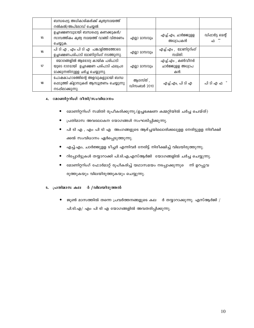|    | ബന്ധപ്പെട്ട അധികാരികൾക്ക് ക്വത്വസമയത്ത്<br>നൽകൽ/അപ്ലോഡ് ചെയ്യൽ.                                              |                         |                                              |                           |
|----|--------------------------------------------------------------------------------------------------------------|-------------------------|----------------------------------------------|---------------------------|
| 15 | ഉച്ചഭക്ഷണവുമായി ബന്ധപ്പെട്ട കണക്കുകൾ/<br>സാമ്പത്തികം കൃത്വ സമയത്ത് വാങ്ങി വിതരണം<br>ചെയ്യുക.                 | എല്ലാ മാസവും            | എച്ച്.എം, ചാർജ്ജുളള<br>അധ്വാപകൻ              | ഡിപ്പാർട്ട മെന്റ്<br>ഫി ് |
| 16 | പി ടി എ , എം പി ടി എ പങ്കാളിത്തത്തോടെ<br>ഉച്ചഭക്ഷണപരിപാടി മോണിറ്ററിംഗ് നടത്തുന്നു.                           | എല്ലാ മാസവും            | എച്ച്.എം , മോണിറ്ററിംഗ്<br>സമിതി.            |                           |
| 17 | യോഗങ്ങളിൽ ആരോഗ്യ കായിക പരിപാടി<br>യുടെ ഭാഗമായി ഉച്ചഭക്ഷണ പരിപാടി ഫലപ്രദ<br>മാക്കുന്നതിനുളള ചർച്ച ചെയ്യുന്നു. | എല്ലാ മാസവും            | എച്ച്.എം , കൺവീനർ<br>ചാർജ്ജുളള അധ്വാപ<br>കൻ. |                           |
| 18 | പോഷകാഹാരത്തിന്റെ അളവുകളുമായി ബന്ധ<br>പ്പെടുത്തി ക്ളാസുകൾ ആസൂത്രണം ചെയ്യുന്നു<br>നടപ്പിലാക്കുന്നു.            | ആഗസ്ത് ,<br>ഡിസംബർ 2010 | എച്ച്.എം, പി ടി എ                            | പി ടി എ ഫ                 |

# 4. മോണിറ്ററിംഗ് രീതി/സംവിധാനം

- $\bullet$ മോണിറ്ററിംഗ് സമിതി രൂപീകരിക്കുന്നു.(ഉച്ചഭക്ഷണ കമ്മറ്റിയിൽ ചർച്ച ചെയ്ത്)
- പ്രതിമാസ അവലോകന യോഗങ്ങൾ സംഘടിപ്പിക്കുന്നു.
- $\bullet$ പി ടി എ , എം പി ടി എ അംഗങ്ങളുടെ ആഴ്ച്ചയിലൊരിക്കലുളള നേരിട്ടുളള നിരീക്ഷി ക്കൽ സംവിധാനം ഏർപ്പെടുത്തുന്നു.
- എച്ച്.എം, ചാർജ്ജുളള ടീച്ചർ എന്നിവർ നേരിട്ട് നിരീക്ഷിച്ച് വിലയിരുത്തുന്നു.  $\bullet$
- റിപ്പോർട്ടുകൾ തയ്യാറാക്കി പി.ടി.എ,എസ്ആർജി യോഗങ്ങളിൽ ചർച്ച ചെയ്യുന്നു.  $\bullet$
- മോണിറ്ററിംഗ് ഫോർമാറ്റ് രൂപീകരിച്ച് യഥാസമയം നടപ്പാക്കുന്നുെ ന്ന് ഉറപ്പുവ  $\bullet$ രുത്തുകയും വിലയിരുത്തുകയും ചെയ്യുന്നു.

# 5. പ്രതിമാസ കല ർ /വിലയിരുത്തൽ

 $\bullet$  ജൂൺ മാസത്തിൽ തന്നെ പ്രവർത്തനങ്ങളുടെ കല $\quad$ ർ തയ്യാറാക്കുന്നു. എസ്ആർജി / പി.ടി.എ/ എം പി ടി എ യോഗങ്ങളിൽ അവതരിപ്പിക്കുന്നു.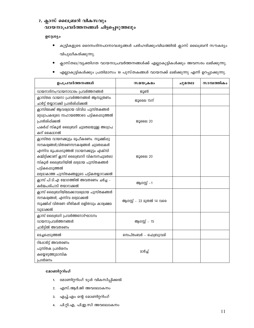# 7. ക്ലാസ് ലൈബ്രറി വികസവും വായനാപ്രവർത്തനങ്ങൾ ചിട്ടപ്പെടുത്തലും

# ഉദ്ദേശ്യം

- കുട്ടികളുടെ ദൈനംദിനപഠനാവശ്യങ്ങൾ പരിഹരിക്കുംവിധത്തിൽ ക്ലാസ് ലൈബ്രറി സൗകര്യം  $\bullet$ വിപുലീകരിക്കുന്നു.
- ക്ലാസ്തല/വ്യക്തിഗത വായനാപ്രവർത്തനങ്ങൾക്ക് എല്ലാകുട്ടികൾക്കും അവസരം ലഭിക്കുന്നു.  $\bullet$
- എല്ലാകുട്ടികൾക്കും പ്രതിമാസം 10 പുസ്തകങ്ങൾ വായനക്ക് ലഭിക്കുന്നു എന്ന് ഉറപ്പാക്കുന്നു.

| ഉപപ്രവർത്തനങ്ങൾ                                                                                                                                                                                                                                                                       | <b>സമയക്രമം</b>           | ചുമതല | സാമ്പത്തികം |
|---------------------------------------------------------------------------------------------------------------------------------------------------------------------------------------------------------------------------------------------------------------------------------------|---------------------------|-------|-------------|
| വായനാദിനം/വായനാവാരം പ്രവർത്തനങ്ങൾ                                                                                                                                                                                                                                                     | ജുൺ                       |       |             |
| ക്ലാസ്തല വായനാ പ്രവർത്തനങ്ങൾ ആസൂത്രണം<br>ചാർട്ട് തയ്യാറാക്കി പ്രദർശിപ്പിക്കൽ                                                                                                                                                                                                          | ജൂലൈ 15ന്                 |       |             |
| ക്ലാസിലേക്ക് ആവശ്വമായ വിവിധ പുസ്തകങ്ങൾ<br>മറ്റധ്വാപകരുടെ സഹായത്തോടെ പട്ടികപ്പെടുത്തൽ<br>പ്രദർശിപ്പിക്കൽ<br>പകർപ്പ് സ്കൂൾ ലൈബ്രറി ചുമതലയുള്ള അധ്വാപ<br>കന് കൈമാറൽ                                                                                                                      | ജൂലൈ 20                   |       |             |
| ക്ലാസ്തല വായനക്കൂട്ടം രൂപീകരണം. സൂക്ഷിപ്പു<br>സൗകര്വങ്ങൾ,വിതരണസൗകര്വങ്ങൾ ചുമതലകൾ<br>എന്നിവ രൂപപ്പെടുത്തൽ (വായനക്കൂട്ടം എക്സി<br>കമ്മിറ്റിക്കാണ് ക്ലാസ് ലൈബ്രററി വികസനചുമതല)<br>സ്കൂൾ ലൈബ്രറിയിൽ ലഭ്യമായ പുസ്തകങ്ങൾ<br>പട്ടികപ്പെടുത്തൽ<br>ലഭ്വമാകാത്ത പുസ്തകങ്ങളുടെ പട്ടികതയ്യാറാക്കൽ | ജൂലൈ 20                   |       |             |
| ക്ലാസ് പി.ടി.എ യോഗത്തിൽ അവതരണം ചർച്ച -<br>കർമ്മപരിപാടി തയാറാക്കൽ                                                                                                                                                                                                                      | ആഗസ്റ്റ് - 1              |       |             |
| ക്ലാസ് ലൈബ്രറിയിലേക്കാവര്വമായ പുസ്തകങ്ങൾ<br>സൗകര്വങ്ങൾ, എന്നിവ ലഭ്യമാക്കൽ<br>സൂക്ഷിപ്പ് വിതരണ രീതികൾ ലളിതവും കാര്യക്ഷമ<br>വുമാക്കൽ                                                                                                                                                    | ആഗസ്റ്റ് - 23 മുതൽ 14 വരെ |       |             |
| ക്ലാസ് ലൈബ്രറി പ്രവർത്തനോദ്ഘാടനം<br>വായനാപ്രവർത്തനങ്ങൾ<br>ചാർട്ടിൽ അവതരണം                                                                                                                                                                                                             | ആഗസ്റ്റ് - 15             |       |             |
| മെച്ചപ്പെടുത്തൽ                                                                                                                                                                                                                                                                       | സെപ്തംബർ - ഫെബ്രുവരി      |       |             |
| റിപ്പോർട്ട് അവതരണം<br>പുസ്തക പ്രദർശനം<br>കയ്യെഴുത്തുമാസിക<br>പ്രദർശനം                                                                                                                                                                                                                 | മാർച്ച്                   |       |             |

- 1. മോണിറ്ററിംഗ് ടൂൾ വികസിപ്പിക്കൽ
- 2. എസ്.ആർ.ജി അവലോകനം
- 3. എച്ച്.എം ന്റെ മോണിറ്ററിംഗ്
- 4. പി.റ്റി.എ, പി.ഇ.സി അവലോകനം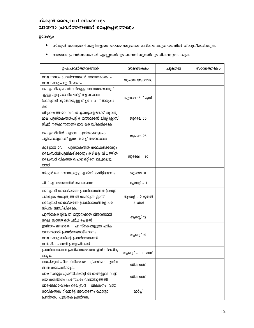# സ്കൂൾ ലൈബ്രറി വികസവും വായനാ പ്രവർത്തനങ്ങൾ മെച്ചപ്പെടുത്തലും

# ഉദേശ്യം

- $\bullet$  സ്കൂൾ ലൈബ്രറി കുട്ടികളുടെ പഠനാവശ്യങ്ങൾ പരിഹരിക്കുവിധത്തിൽ വിപൂലീകരിക്കുക.
- വായനാ പ്രവർത്തനങ്ങൾ എണ്ണത്തിലും വൈവിധ്യത്തിലും മികവുറ്റതാക്കുക.

| ഉപപ്രവർത്തനങ്ങൾ                                                                                                                                | സമയക്രമം                    | ചുമതല | സാമ്പത്തികം |
|------------------------------------------------------------------------------------------------------------------------------------------------|-----------------------------|-------|-------------|
| വായനാവാര പ്രവർത്തനങ്ങൾ അവലോകനം -<br>വായനക്കൂട്ടം രൂപീകരണം.                                                                                     | ജൂലൈ ആദ്യവാരം               |       |             |
| ലൈബ്രറിയുടെ നിലവിലുള്ള അവസ്ഥയെക്കുറി<br>ച്ചുള്ള കൃത്വമായ റിപ്പോർട്ട് തയ്യാറാക്കൽ<br>(ലൈബ്രറി ചുമതലയുള്ള ടീച്ചർ + ര ് അധ്വാപ<br>കർ)             | ജൂലൈ 15ന് മുമ്പ്            |       |             |
| വിദ്വാലയത്തിലെ വിവിധ ക്ലാസുകളിലേക്ക് ആവശ്വ<br>മായ പുസ്തകങ്ങൾപട്ടിക തയറാക്കൽ ലിസ്റ്റ് (ക്ലാസ്<br>ടിച്ചർ നൽകുന്നതാണ്) ഇവ ക്രോഡീകരിക്കുക          | ജൂലൈ 20                     |       |             |
| ലൈബ്രറിയിൽ ലഭ്യമായ പുസ്തകങ്ങളുടെ<br>പട്ടിക/കാറ്റലോഗ് ഇനം തിരിച്ച് തയാറാക്കൽ                                                                    | ജൂലൈ 25                     |       |             |
| പുസ്തകങ്ങൾ സമാഹരിക്കാനും,<br>കൂടുതൽ വേ<br>ലൈബ്രറിവിപുലീകരിക്കാനും കഴിയും വിധത്തിൽ<br>ലൈബ്രറി വികസന പ്രൊജക്റ്റിനെ മെച്ചപ്പെടു<br>ത്തൽ.          | ജൂലൈ - 30                   |       |             |
| സ്കൂൾതല വായനക്കൂട്ടം എക്സി കമ്മിറ്റിയോഗം                                                                                                       | ജൂലൈ 31                     |       |             |
| പി.ടി.എ യോഗത്തിൽ അവതരണം                                                                                                                        | ആഗസ്റ്റ് - 1                |       |             |
| ലൈബ്രറി രാക്തികരണ പ്രവർത്തനങ്ങൾ (അധ്വാ<br>പകരുടെ നേതൃത്വത്തിൽ നടക്കുന്ന ക്ലാസ്<br>ലൈബ്രറി രാക്തീകരണ പ്രവർത്തനങ്ങളെ പര<br>സ്പരം ബന്ധിപ്പിക്കുക) | ആഗസ്റ്റ് - 2 മുതൽ<br>14 വരെ |       |             |
| പുസ്തകകാറ്റ്ലോഗ് തയ്യാറാക്കൽ വിതരണത്തി<br>നുള്ള സാധ്യതകൾ ചർച്ച ചെയ്യൽ                                                                          | ആഗസ്റ്റ് 12                 |       |             |
| ഇനിയും ലഭ്വമാകേ പുസ്തകങ്ങളുടെ പട്ടിക<br>തയാറാക്കൽ പ്രവർത്തനോദ്ഘാടനം<br>വായനക്കൂട്ടത്തിന്റെ പ്രവർത്തനങ്ങൾ<br>വാർഷിക പദ്ധതി പ്രഖ്യാപിക്കൽ        | ആഗസ്റ്റ് 15                 |       |             |
| പ്രവർത്തനങ്ങൾ പ്രതിമാസയോഗങ്ങളിൽ വിലയിരു<br>ത്തുക.                                                                                              | ആഗസ്റ്റ് - നവംബർ            |       |             |
| സെപ്ഷ്വൽ ഫീസവിനിയോഗം പട്ടികയിലെ പുസ്ത<br>ങ്ങൾ സമാഹരിക്കുക.                                                                                     | ഡിസംബർ                      |       |             |
| വായനക്കൂട്ടം എക്സി.കമ്മിറ്റി അംഗങ്ങളുടെ വിദ്യാ<br>ലയ സന്ദർശനം (പരസ്പരം വിലയിരുത്തൽ)                                                            | ഡിസംബർ                      |       |             |
| വാർഷികാഘോഷം ലൈബ്രറി - വികസനം വായ<br>നാവികസനം റിപ്പോർട്ട് അവതരണം ഫോട്ടോ<br>പ്രദർശനം പുസ്തക പ്രദർശനം.                                            | മാർച്ച്                     |       |             |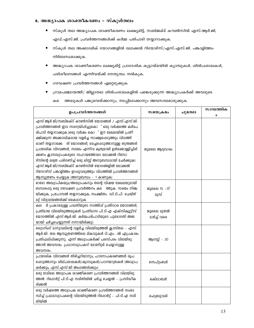# 8. അദ്ധ്യാപക ശാക്തീകരണം – സ്കൂൾതലം

- സ്കൂൾ തല അദ്ധ്യാപക ശാക്തീകരണം ലക്ഷ്യമിട്ട്, സബ്ജക്ട് കൗൺസിൽ എസ്.ആർ.ജി, എഡ്.എസ്.ജി. പ്രവർത്തനങ്ങൾക്ക് കർമ്മ പരിപാടി തയ്യാറാക്കുക.
- സ്കുൾ തല അക്കാദമിക് യോഗങ്ങളിൽ ലോക്കൽ റിയോഴ്സ്/എസ്.എസ്.ജി. പങ്കാളിത്തം നിർബന്ധമാക്കുക.
- $\bullet$ അദ്ധ്യാപക ശാക്തീകരണം ലക്ഷ്യമിട്ട് പ്രാദേശിക കൂട്ടായ്മയിൽ ക്യാമ്പുകൾ, ശിൽപശാലകൾ, പരിശീലനങ്ങൾ എന്നിവയ്ക്ക് നേതൃത്വം നൽകുക.
- ഗവേഷണ പ്രവർത്തനങ്ങൾ എറ്റെടുക്കുക.  $\bullet$
- ഗ്രാമപഞ്ചായത്ത്/ ജില്ലാതല ശിൽപശാലകളിൽ പങ്കെടുക്കുന്ന അദ്ധ്യാപകർക്ക് അവരുടെ  $\bullet$

ത്തലുകൾ പങ്കുവെയ്ക്കാനും, നടപ്പിലാക്കാനും അവസരമൊരുക്കുക. ക്ക

| ഉപപ്രവർത്തനങ്ങൾ                                                                                                                                                                                                                                                                                                                                                                                                                                                                                                                                                                                                                   | സമയക്രമം                 | ചുമതല | സാമ്പത്തിക<br>$\bullet$ |
|-----------------------------------------------------------------------------------------------------------------------------------------------------------------------------------------------------------------------------------------------------------------------------------------------------------------------------------------------------------------------------------------------------------------------------------------------------------------------------------------------------------------------------------------------------------------------------------------------------------------------------------|--------------------------|-------|-------------------------|
| .എസ്.ആർ.ജി/സബ്ജക്ട് കൗൺസിൽ യോഗങ്ങൾ / എസ്.എസ്.ജി.<br>പ്രവർത്തനങ്ങൾ ഇവ സമന്വയിപ്പിച്ചുകൊ ് ഒരു വർഷത്തെ കർമപ<br>രിപാടി തയ്യാറാക്കുക.(ഒരു വർഷം കൊ "ഈ മേഖലയിൽ പ്രതീ<br>ക്ഷിക്കുന്ന അക്കാദമികമായ വളർച്ച സാക്ഷ്വപ്പെടുത്തും വിധത്തി<br>ലാണ് തയ്യാറാക്കേ ത് യോഗങ്ങൾ, മെച്ചപ്പെടുത്താനുള്ള തന്ത്രങ്ങൾ<br>പ്രാദേശിക വിഭവങ്ങൾ, സമയം എന്നിവ കൃത്യമായി ഉൾക്കൊള്ളിച്ചിരി<br>ക്കണം ക്ലാസദ്ധ്വാപകരുടെ സഹായത്തോടെ ലോക്കൽ റിസോ<br>ഴ്സിന്റെ ലഭ്വത പരിഗണിച്ച് ഒരു ലിസ്റ്റ് അനുബന്ധമായി ചേർക്കുക)<br>എസ്.ആർ.ജി/സബ്ജക്ട് കൗൺസിൽ യോഗങ്ങളിൽ ലോക്കൽ<br>റിസോഴ്സ് പങ്കാളിത്തം ഉറപ്പുവരുത്തും വിധത്തിൽ പ്രവർത്തനങ്ങൾ<br>ആസൂത്രണം ചെയ്യുക (അനുബന്ധം - 1 കാണുക) | ജൂലൈ ആദ്വവാരം            |       |                         |
| ഓരോ അദ്ധ്വാപികയും/അദ്ധ്വാപകനും തന്റെ വിഷയ മേഖലയുമായി<br>ബന്ധപ്പെട്ട ഒരു ഗവേഷണ പ്രവർത്തനം ക <b>െ ത്തുക.</b> സമയം നിത്മ<br>യിക്കുക, പ്രപോസൽ തയ്യാറാക്കുക, സംക്ഷിതം ഡി.ടി.പി. ചെയ്ത്<br>മറ്റ് വിദ്വാലയങ്ങൾക്ക് കൈമാറുക.                                                                                                                                                                                                                                                                                                                                                                                                              | ജൂലൈ 15 - ന്<br>മുമ്പ്   |       |                         |
| ർ പ്രകാരമുള്ള പദ്ധതിയുടെ നടത്തിപ്പ് പ്രതിവാര യോഗങ്ങൾ,<br>കല<br>പ്രതിമായ വിലയിരുത്തലുകൾ (പ്രതിമാസ പി.ടി.എ എക്സിക്വൂട്ടീവ്<br>യോഗത്തിൽ എസ്.ആർ.ജി. കർമ്മപരിപാടിയുടെ പുരോഗതി അജ<br>യായി ചർച്ചചെയ്യുന്നത് നന്നായിരിക്കു)                                                                                                                                                                                                                                                                                                                                                                                                               | ജൂലൈ മുതൽ<br>മാർച്ച് വരെ |       |                         |
| ട്രൈനിംഗ് മാനുവലിന്റെ വളർച്ച വിലയിരുത്തൽ ക്ലാസ്തല - എസ്.<br>ആർ.ജി. തല ആസൂത്രണത്തിലെ മികവുകൾ ടി.എം.-ൽ എപ്രകാരം<br>പ്രതിഫലിപ്പിക്കുന്നു. എന്ന് അധ്വാപകർക്ക് പരസ്പരം വിലയിരു<br>ത്താൻ അവസരം. പ്രധാനധ്വാപകന് മോണിറ്റർ ചെയ്യാനുള്ള<br>അവസരം.                                                                                                                                                                                                                                                                                                                                                                                           | ആഗസ്റ്റ് - 30            |       |                         |
| പ്രാദേശിക വിഭവങ്ങൾ തിരിച്ചറിയാനും, പഠനോപകരണങ്ങൾ രൂപ<br>പ്പെടുത്താനും ശില്പശാലകൾ/ക്വാമ്പുകൾ/പഠനയാത്രകൾ (അധ്വാപ<br>കർക്കും, എസ്.എസ്.ജി അംഗങ്ങൾക്കും)                                                                                                                                                                                                                                                                                                                                                                                                                                                                                | സെപ്റ്റംബർ               |       |                         |
| ഒരു ടേമിലെ അധ്വാപക ശാക്തീകരണ പ്രവർത്തനങ്ങൾ വിലയിരു<br>ത്തൽ. റിപ്പോർട്ട് പി.ടി.എ സമിതിയിൽ ചർച്ച ചെയ്യൽ - പ്രസിദ്ധീക<br>രിക്കൽ                                                                                                                                                                                                                                                                                                                                                                                                                                                                                                      | ഒക്ടോബർ                  |       |                         |
| ഒരു വർഷത്തെ അധ്വാപക ശാക്തീകരണ പ്രവർത്തനങ്ങൾ സംബ<br>ന്ധിച്ച് പ്രഥമാധ്വാപകന്റെ വിലയിരുത്തൽ റിഷോർട്ട് - പി.ടി.എ സമി<br>തിയിൽ                                                                                                                                                                                                                                                                                                                                                                                                                                                                                                         | ഫെബ്രുവരി                |       |                         |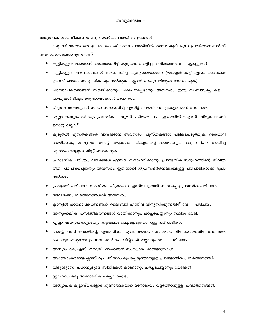#### അധ്യാപക ശാക്തീകരണം ഒരു സംസ്കാരമായി മാറ്റുമ്പോൾ

ഒരു വർഷത്തെ അധ്യാപക ശാക്തീകരണ പദ്ധതിയിൽ താഴെ കുറിക്കുന്ന പ്രവർത്തനങ്ങൾക്ക് അവസരമൊരുക്കാവുന്നതാണ്.

- $\bullet$ കുട്ടികളുടെ മന:ശാസ്ത്രത്തെക്കുറിച്ച് കൂടുതൽ തെളിച്ചം ലഭിക്കാൻ വേ ക്ലാസ്സുകൾ
- കുട്ടികളുടെ അവകാശങ്ങൾ സംബന്ധിച്ച കൃത്യമായധാരണ (യു.എൻ കുട്ടികളുടെ അവകാശ  $\bullet$ ഉടമ്പടി ഓരോ അധ്യാപികക്കും നൽകുക - ക്ലാസ് ലൈബ്രറിയുടെ ഭാഗമാക്കുക)
- $\bullet$ പഠനോപകരണങ്ങൾ നിർമ്മിക്കാനും, പരിചയപ്പെടാനും അവസരം. ഇതു സംബന്ധിച്ച ക ത്തലുകൾ ടി.എം.ന്റെ ഭാഗമാക്കാൻ അവസരം.
- $\bullet$ ടീച്ചർ വേർഷനുകൾ സ്വയം സമാഹരിച്ച് എഡിറ്റ് ചെയ്ത് പതിപ്പുകളാക്കാൻ അവസരം.
- എല്ലാ അധ്യാപകർക്കും പ്രാഥമിക കമ്പ്യൂട്ടർ പരിജ്ഞാനം ഇ.മെയിൽ ഐ.ഡി- വിദ്യാലയത്തി നൊരു ബ്ലോഗ്.
- കൂടുതൽ പുസ്തകങ്ങൾ വായിക്കാൻ അവസരം. പുസ്തകങ്ങൾ പട്ടികപ്പെടുത്തുക. കൈമാറി വായിക്കുക, ലൈബ്രറി നോട്ട് തയ്യാറാക്കി ടി.എം.–ന്റെ ഭാഗമാക്കുക. ഒരു വർഷം വായിച്ച പുസ്തകങ്ങളുടെ ലിസ്റ്റ് കൈമാറുക.
- $\bullet$ പ്രാദേശിക ചരിത്രം, വിവരങ്ങൾ എന്നിവ സമാഹരിക്കാനും പ്രാദേശിക സമൂഹത്തിന്റെ ജീവിത രീതി പരിചയപ്പെടാനും അവസരം. ഇതിനായി ഗൃഹസന്ദർശനമടക്കമുള്ള പരിപാടികൾക്ക് രൂപം നൽകാം.
- പ്രവൃത്തി പരിചയം, സംഗീതം, ചിത്രരചന എന്നിവയുമായി ബന്ധപ്പെട്ട പ്രാഥമിക പരിചയം.
- ഗവേഷണപ്രവർത്തനങ്ങൾക്ക് അവസരം.  $\bullet$
- ക്ലാസ്റ്റിൽ പഠനോപകരണങ്ങൾ, ലൈബ്രറി എന്നിവ വിന്യസിക്കുന്നതിന് വേ പരിചയം.
- ആനുകാലിക പ്രസിദ്ധീകരണങ്ങൾ വായിക്കാനും, ചർച്ചചെയ്യാനും സ്ഥിരം വേദി.
- എല്ലാ അധ്യാപകരുടെയും കയ്യക്ഷരം മെച്ചപ്പെടുത്താനുള്ള പരിപാടികൾ
- ചാർട്ട്, പവർ പോയിന്റെ്, എൽ.സി.ഡി. എന്നിവയുടെ സുഗമമായ വിനിയോഗത്തിന് അവസരം ഫോട്ടോ എടുക്കാനും അവ പവർ പോയിന്റാക്കി മാറ്റാനും വേ പരിചയം.
- അധ്യാപകർ, എസ്.എസ്.ജി. അംഗങ്ങൾ സംയുക്ത പഠനയാത്രകൾ
- ആരോഗൃകരമായ ക്ലാസ് റൂം പരിസരം രൂപപ്പെടുത്താനുള്ള പ്രായോഗിക പ്രവർത്തനങ്ങൾ
- വിദ്യാഭ്യാസ പ്രധാന്യമുള്ള സിനിമകൾ കാണാനും ചർച്ചചെയ്യാനും വേദികൾ
- സ്റ്റാഫ്റും ഒരു അക്കാദമിക ചർച്ചാ കേന്ദ്രം
- അധ്യാപക കുട്ടായ്മകളോട് ഗുണാത്മകമായ മനോഭാവം വളർത്താനുള്ള പ്രവർത്തനങ്ങൾ.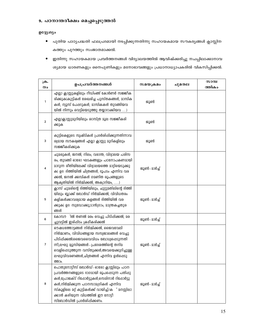# 9. പഠനാന്തരീക്ഷം മെച്ചപ്പെടുത്തൽ

# ഉദ്ദ്യേശ്യം

- പുതിയ പാഠ്യപദ്ധതി ഫലപ്രദമായി നടപ്പിക്കുന്നതിന്നു സഹായകമായ സൗകര്യങ്ങൾ ക്ലാസ്സിന കത്തും പുറത്തും സംജാതമാക്കൽ.
- ഇതിന്നു സഹായകമായ പ്രവർത്തനങ്ങൾ വിദ്യാലയത്തിൽ ആവിഷ്ക്കരിച്ചു നചപ്പിലാക്കാനാവ ശ്യമായ ധാരണകളും നൈപുണികളും മനോഭാവങ്ങളും പ്രധാനാധ്യാപകരിൽ വികസിപ്പിക്കൽ.

| $\omega$ .<br>നം | ഉപപ്രവർത്തനങ്ങൾ                                                                                                                                                                                                                                                                                            | സമയക്രമം      | ചുമതല | സാമ്പ<br>ത്തികം |
|------------------|------------------------------------------------------------------------------------------------------------------------------------------------------------------------------------------------------------------------------------------------------------------------------------------------------------|---------------|-------|-----------------|
| $\mathbf{1}$     | എല്ലാ ക്ലാസ്സുകളിലും റീഡിംങ്ങ് കോർണർ സജ്ജീക<br>രിക്കുക(കുട്ടികൾ ശേഖരിച്ച പുസ്തകങ്ങൾ, മാസിക<br>കൾ, ന്വൂസ് പേഷറുകൾ, മാസികകൾ തുടങ്ങിയവ<br>യിൽ നിന്നും വെട്ടിയെടുത്തു തയ്യാറാക്കിയവ )                                                                                                                          | ജൂൺ           |       |                 |
| $\overline{2}$   | എല്ലാക്ലാസ്സുമുറിയിലും ശാസ്ത്ര മൂല സജ്ജീകരി<br>ക്കുക                                                                                                                                                                                                                                                       | ജൂൺ           |       |                 |
| 3                | കുട്ടികെളുടെ സൃഷ്ടികൾ പ്രദർശിപ്പിക്കുന്നതിന്നാവ<br>ശ്വമായ സൗകര്യങ്ങൾ എല്ലാ ക്ലാസ്സു മുറികളിലും<br>സജ്ജീകരിക്കുക                                                                                                                                                                                            | ജൂൺ           |       |                 |
| 4                | ചുമരുകൾ, ജനൽ, നിലം, വരാന്ത, വിദ്വാലയ പരിസ<br>രം, തുടങ്ങി ഓരോ ഘടകങ്ങളും പഠനോപകണമായി<br>മാറുന്ന രീതിയിലേക്ക് വിദ്വാലയത്തെ മാറ്റിയെടുക്കു<br>ക( ഉദ: ദിത്തിയിൽ ചിത്രങ്ങൾ, ഭൂപടം എന്നിവ വര<br>ക്കൽ, ജനൽ ക്കമ്പികൾ ഗമണിത രൂപങ്ങളുടെ<br>ആക്വതിയിൽ നിർമ്മിക്കൽ, അക്വാറിയം, )                                       | ജൂൺ - മാർച്ച് |       |                 |
| 5                | ക്ലാസ് ചുമരിന്റെ ദിത്തിയിലും, ചുറ്റുമതിലിന്റെ ദിത്തി<br>യിലും ബ്ലാക്ക് ബോർഡ് നിർമ്മിക്കൽ, വിവിധതരം<br>കളികൾക്കാവര്യമായ കളങ്ങൾ ദിത്തിയിൽ വര<br>ക്കുക( ഉദ: സുഡോക്കു,ടാൻഗ്രാം, മാന്ത്രകച്ചതുര<br>ങ്ങൾ                                                                                                         | ജൂൺ - മാർച്ച് |       |                 |
| 6                | ിൽ തണൽ മരം വെച്ചു പിടിപ്പിക്കൽ, മര<br>കോമ്പൗ<br>ച്ചുവട്ടിൽ ഇരിപ്പിടം ക്രമീകരിക്കൽ                                                                                                                                                                                                                          | ജൂൺ - മാർച്ച് |       |                 |
| 7                | ഔഷധത്തോട്ടങ്ങൾ നിർമ്മിക്കൽ, ജൈവവേലി<br>നിർമ്മാണം, വിവിധങ്ങളായ സസ്വജാലങ്ങൾ വെച്ചു<br>പിടിപ്പിക്കൽ(ജൈവവൈവിധം ബോധ്വപ്പെടുന്നതി<br>ന്ന്),ലഘു മ്യൂസിയങ്ങൾ - പ്രദേശത്തിന്റെ തനിമ<br>വെളിപ്പെടുത്തുന്ന വസ്തുക്കൾ,അവയെക്കുറിച്ചുള്ള<br>ലഘുവിവരണങ്ങൾ,ചിത്രങ്ങൾ എന്നിവ ഉൾപ്പെടു<br><b><i>COO</i></b>                 | ജൂൺ - മാർച്ച് |       |                 |
| 8                | പൊതുനോട്ടീസ് ബോർഡ്- ഓരോ ക്ലാസ്സിലും പഠന<br>പ്രവർത്തനങ്ങളുടെ ഭാഗമായി രൂപപ്പെടുന്ന പതിപ്പു<br>കൾ,പ്രോജക്ട് റിപ്പോർട്ടുകൾ,സെമിനാർ റിപ്പോർട്ടു<br>കൾ,നിർമ്മിക്കുന്ന പഠനസാമഗ്രികൾ എന്നിവ<br>സ്കൂളിലെ മറ്റ് കുട്ടികൾക്ക് വായിച്ച്/ക ് മനസ്സിലാ<br>ക്കാൻ കഴിയുന്ന വിധത്തിൽ ഈ നോട്ടീ<br>സ്ബോർഡിൽ പ്രദർശിപ്പിക്കണം. | ജൂൺ - മാർച്ച് |       |                 |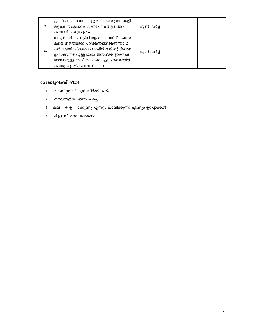| 9  | ക്ലാസ്സിലെ പ്രവർത്തനങ്ങളുടെ ഭാഗമായല്ലാതെ കുട്ടി<br>കളുടെ സ്വതന്ത്രമായ സർഗരചനകൾ പ്രദർശിപ്പി<br>ക്കാനായി പ്രത്യേക ഇടം.                                                                                                                                      | ജൂൺ - മാർച്ച് |  |
|----|-----------------------------------------------------------------------------------------------------------------------------------------------------------------------------------------------------------------------------------------------------------|---------------|--|
| 10 | സ്കൂൾ പരിസരങ്ങളിൽ സ്വയംപഠനത്തിന് സഹായ<br>കമായ രീതിയിലുള്ള പരീക്ഷണനിരീക്ഷണസാമഗ്രി<br>കൾ സജ്ജീകരിക്കുക.(മഴമാപിനി,കാറ്റിന്റെ ദിശ മന<br>സ്സിലാക്കുന്നതിനുള്ള യന്ത്രം,അന്തരിക്ഷ ഊഷ്മാവ്<br>അറിയാനുള്ള സംവിധാനം,മഴവെള്ളം പാഴാകാതിരി<br>ക്കാനുള്ള ക്രമീകരണങ്ങൾ ) | ജൂൺ - മാർച്ച് |  |

# മോണിറ്ററിംങ്ങ് രീതി

- 1. മോണിറ്ററിംഗ് ടൂൾ നിർമ്മിക്കൽ
- 2. എസ്.ആർ.ജി യിൽ ചർച്ച
- 3. കല ർ ഉ ാക്കുന്നു എന്നും പാലിക്കുന്നു എന്നും ഉറപ്പാക്കൽ
- 4. പി.ഇ.സി അവലോകനം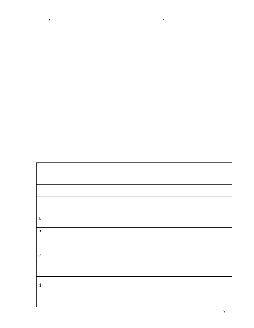| $\mathbf{a}$                                                                                                                                                                                                                                                                                                                                                                                                                                 |  |  |
|----------------------------------------------------------------------------------------------------------------------------------------------------------------------------------------------------------------------------------------------------------------------------------------------------------------------------------------------------------------------------------------------------------------------------------------------|--|--|
| $\mathbf b$                                                                                                                                                                                                                                                                                                                                                                                                                                  |  |  |
|                                                                                                                                                                                                                                                                                                                                                                                                                                              |  |  |
| $\mathbf c$                                                                                                                                                                                                                                                                                                                                                                                                                                  |  |  |
|                                                                                                                                                                                                                                                                                                                                                                                                                                              |  |  |
|                                                                                                                                                                                                                                                                                                                                                                                                                                              |  |  |
| $\mathrm{d}% \left\  \mathbf{r}_{i}^{*}\right\  _{A_{i}}=\mathrm{d}\left\  \mathbf{r}_{i}^{*}\right\  _{A_{i}}=\mathrm{d}\left\  \mathbf{r}_{i}^{*}\right\  _{A_{i}}=\mathrm{d}\left\  \mathbf{r}_{i}^{*}\right\  _{A_{i}}=\mathrm{d}\left\  \mathbf{r}_{i}^{*}\right\  _{A_{i}}=\mathrm{d}\left\  \mathbf{r}_{i}^{*}\right\  _{A_{i}}=\mathrm{d}\left\  \mathbf{r}_{i}^{*}\right\  _{A_{i}}=\mathrm{d}\left\  \mathbf{r}_{i}^{*}\right\  _$ |  |  |
|                                                                                                                                                                                                                                                                                                                                                                                                                                              |  |  |
|                                                                                                                                                                                                                                                                                                                                                                                                                                              |  |  |
|                                                                                                                                                                                                                                                                                                                                                                                                                                              |  |  |

**ïïïï ' ïïïïïïïïïïïïïïïïïïïïïïïïïïïïïï**

**'ïï**

٦